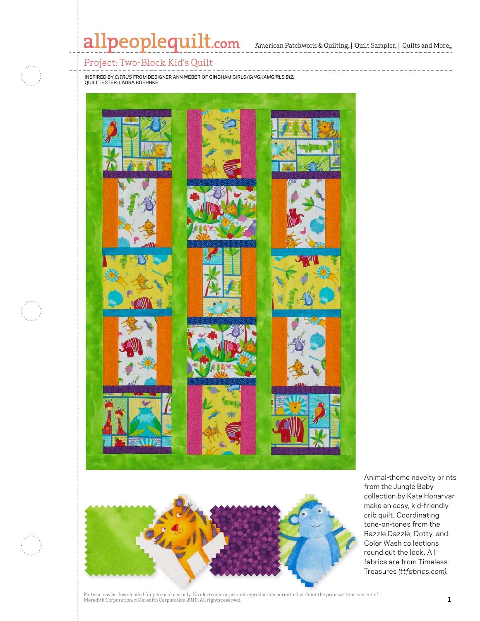# allpeoplequilt.com American Patchwork & Quilting, | Quilt Sampler, | Quilts and More..

### Project: Two-Block Kid's Quilt

Inspired by *Citrus* from designer Ann Weber of Gingham Girls *(ginghamgirls.biz)* QUILT TESTER: LAURA BOEHNKE





Animal-theme novelty prints from the Jungle Baby collection by Kate Honarvar make an easy, kid-friendly crib quilt. Coordinating tone-on-tones from the Razzle Dazzle, Dotty, and Color Wash collections round out the look. All fabrics are from Timeless Treasures *(ttfabrics.com).*

Pattern may be downloaded for personal use only. No electronic or printed reproduction permitted without the prior written consent of I accent may be used to represent the Corporation 2010. All rights reserved. **1** accent the manual corporation conserved. **1**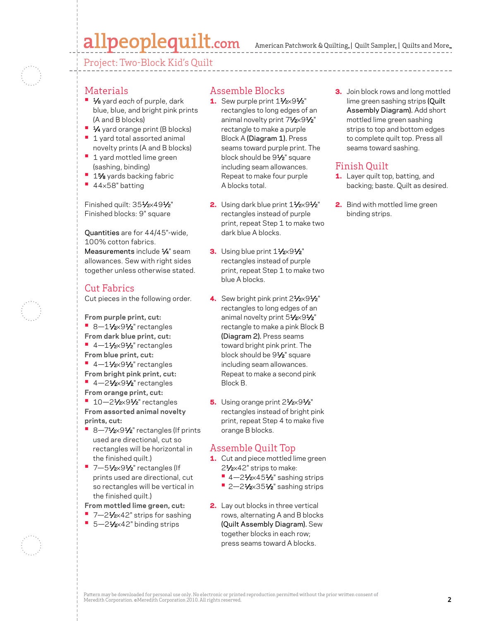## allpeoplequilt.com

American Patchwork & Quilting, | Quilt Sampler, | Quilts and More...

Project: Two-Block Kid's Quilt

#### **Materials**

- **•**  1⁄8 yard *each* of purple, dark blue, blue, and bright pink prints (A and B blocks)
- **1⁄4** yard orange print (B blocks) **• 1 yard total assorted animal**
- novelty prints (A and B blocks) **• 1 yard mottled lime green** (sashing, binding)
- **1%** yards backing fabric
- **•**  <sup>44</sup>×58" batting

Finished quilt: 351/2×491/2" Finished blocks: 9" square

Quantities are for 44/45"-wide, 100% cotton fabrics. Measurements include 1/4" seam allowances. Sew with right sides together unless otherwise stated.

#### Cut Fabrics

Cut pieces in the following order.

**From purple print, cut:**

- **•** 8-11/<sub>2×</sub>91/<sub>2</sub>" rectangles **From dark blue print, cut:**
- **•** 4-11/2×91/2" rectangles **From blue print, cut:**
- **•** 4-11/<sub>2×</sub>91/<sub>2</sub>" rectangles
- **From bright pink print, cut: •** 4-21/<sub>2</sub>×91/<sub>2</sub>" rectangles **From orange print, cut:**
- **10–21/2×91/2**" rectangles **From assorted animal novelty prints, cut:**
- **•**  8—71⁄2×91⁄2" rectangles (If prints used are directional, cut so rectangles will be horizontal in the finished quilt.)
- **•** 7-51/2×91/2" rectangles (If prints used are directional, cut so rectangles will be vertical in the finished quilt.)
- **From mottled lime green, cut:**
- 7-21⁄<sub>2×42</sub>" strips for sashing ■ 5-21⁄2×42" binding strips

#### Assemble Blocks

- 1. Sew purple print  $1\frac{1}{2} \times 9\frac{1}{2}$ " rectangles to long edges of an animal novelty print 71/2×91/2" rectangle to make a purple Block A (Diagram 1). Press seams toward purple print. The block should be 91⁄2" square including seam allowances. Repeat to make four purple A blocks total.
- 2. Using dark blue print  $1\frac{1}{2} \times 9\frac{1}{2}$ rectangles instead of purple print, repeat Step 1 to make two dark blue A blocks.
- 3. Using blue print  $1\frac{1}{2} \times 9\frac{1}{2}$ " rectangles instead of purple print, repeat Step 1 to make two blue A blocks.
- 4. Sew bright pink print  $2\frac{1}{2}\times 9\frac{1}{2}$ " rectangles to long edges of an animal novelty print 51/2×91/2" rectangle to make a pink Block B (Diagram 2). Press seams toward bright pink print. The block should be 91⁄2" square including seam allowances. Repeat to make a second pink Block B.
- 5. Using orange print  $2\frac{1}{2}\times 9\frac{1}{2}$ " rectangles instead of bright pink print, repeat Step 4 to make five orange B blocks.

### Assemble Quilt Top

- 1. Cut and piece mottled lime green 21⁄2×42" strips to make:
	- 4–21⁄2×451⁄2" sashing strips
	- **•** 2-21/<sub>2</sub>×351/<sub>2</sub>" sashing strips
- 2. Lay out blocks in three vertical rows, alternating A and B blocks (Quilt Assembly Diagram). Sew together blocks in each row; press seams toward A blocks.

**3.** Join block rows and long mottled lime green sashing strips (Quilt Assembly Diagram). Add short mottled lime green sashing strips to top and bottom edges to complete quilt top. Press all seams toward sashing.

## Finish Quilt

- 1. Layer quilt top, batting, and backing; baste. Quilt as desired.
- 2. Bind with mottled lime green binding strips.